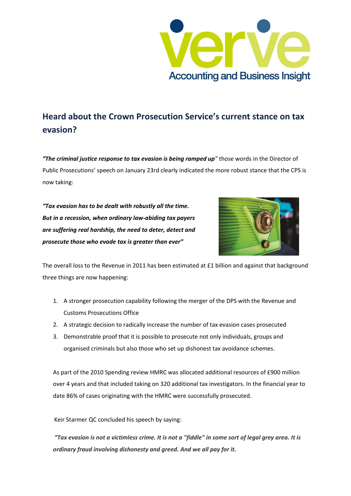

## **Heard about the Crown Prosecution Service's current stance on tax evasion?**

*"The criminal justice response to tax evasion is being ramped up"* those words in the Director of Public Prosecutions' speech on January 23rd clearly indicated the more robust stance that the CPS is now taking:

*"Tax evasion has to be dealt with robustly all the time. But in a recession, when ordinary law-abiding tax payers are suffering real hardship, the need to deter, detect and prosecute those who evade tax is greater than ever"*



The overall loss to the Revenue in 2011 has been estimated at £1 billion and against that background three things are now happening:

- 1. A stronger prosecution capability following the merger of the DPS with the Revenue and Customs Prosecutions Office
- 2. A strategic decision to radically increase the number of tax evasion cases prosecuted
- 3. Demonstrable proof that it is possible to prosecute not only individuals, groups and organised criminals but also those who set up dishonest tax avoidance schemes.

As part of the 2010 Spending review HMRC was allocated additional resources of £900 million over 4 years and that included taking on 320 additional tax investigators. In the financial year to date 86% of cases originating with the HMRC were successfully prosecuted.

Keir Starmer QC concluded his speech by saying:

*"Tax evasion is not a victimless crime. It is not a "fiddle" in some sort of legal grey area. It is ordinary fraud involving dishonesty and greed. And we all pay for it.*